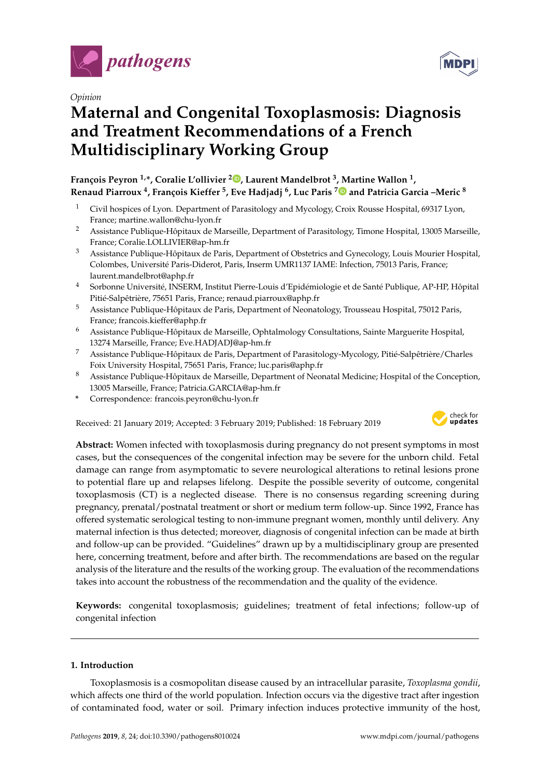

*Opinion*

# **Maternal and Congenital Toxoplasmosis: Diagnosis and Treatment Recommendations of a French Multidisciplinary Working Group**

# **François Peyron 1,\*, Coralie L'ollivier <sup>2</sup> [,](https://orcid.org/0000-0002-1086-3745) Laurent Mandelbrot <sup>3</sup> , Martine Wallon <sup>1</sup> , Renaud Piarroux <sup>4</sup> , François Kieffer <sup>5</sup> , Eve Hadjadj <sup>6</sup> , Luc Paris [7](https://orcid.org/0000-0003-3433-9603) and Patricia Garcia –Meric <sup>8</sup>**

- <sup>1</sup> Civil hospices of Lyon. Department of Parasitology and Mycology, Croix Rousse Hospital, 69317 Lyon, France; martine.wallon@chu-lyon.fr
- <sup>2</sup> Assistance Publique-Hôpitaux de Marseille, Department of Parasitology, Timone Hospital, 13005 Marseille, France; Coralie.LOLLIVIER@ap-hm.fr
- <sup>3</sup> Assistance Publique-Hôpitaux de Paris, Department of Obstetrics and Gynecology, Louis Mourier Hospital, Colombes, Université Paris-Diderot, Paris, Inserm UMR1137 IAME: Infection, 75013 Paris, France; laurent.mandelbrot@aphp.fr
- <sup>4</sup> Sorbonne Université, INSERM, Institut Pierre-Louis d'Epidémiologie et de Santé Publique, AP-HP, Hôpital Pitié-Salpêtrière, 75651 Paris, France; renaud.piarroux@aphp.fr
- <sup>5</sup> Assistance Publique-Hôpitaux de Paris, Department of Neonatology, Trousseau Hospital, 75012 Paris, France; francois.kieffer@aphp.fr
- <sup>6</sup> Assistance Publique-Hôpitaux de Marseille, Ophtalmology Consultations, Sainte Marguerite Hospital, 13274 Marseille, France; Eve.HADJADJ@ap-hm.fr
- <sup>7</sup> Assistance Publique-Hôpitaux de Paris, Department of Parasitology-Mycology, Pitié-Salpêtrière/Charles Foix University Hospital, 75651 Paris, France; luc.paris@aphp.fr
- 8 Assistance Publique-Hôpitaux de Marseille, Department of Neonatal Medicine; Hospital of the Conception, 13005 Marseille, France; Patricia.GARCIA@ap-hm.fr
- **\*** Correspondence: francois.peyron@chu-lyon.fr

Received: 21 January 2019; Accepted: 3 February 2019; Published: 18 February 2019



**Abstract:** Women infected with toxoplasmosis during pregnancy do not present symptoms in most cases, but the consequences of the congenital infection may be severe for the unborn child. Fetal damage can range from asymptomatic to severe neurological alterations to retinal lesions prone to potential flare up and relapses lifelong. Despite the possible severity of outcome, congenital toxoplasmosis (CT) is a neglected disease. There is no consensus regarding screening during pregnancy, prenatal/postnatal treatment or short or medium term follow-up. Since 1992, France has offered systematic serological testing to non-immune pregnant women, monthly until delivery. Any maternal infection is thus detected; moreover, diagnosis of congenital infection can be made at birth and follow-up can be provided. "Guidelines" drawn up by a multidisciplinary group are presented here, concerning treatment, before and after birth. The recommendations are based on the regular analysis of the literature and the results of the working group. The evaluation of the recommendations takes into account the robustness of the recommendation and the quality of the evidence.

**Keywords:** congenital toxoplasmosis; guidelines; treatment of fetal infections; follow-up of congenital infection

# **1. Introduction**

Toxoplasmosis is a cosmopolitan disease caused by an intracellular parasite, *Toxoplasma gondii*, which affects one third of the world population. Infection occurs via the digestive tract after ingestion of contaminated food, water or soil. Primary infection induces protective immunity of the host,

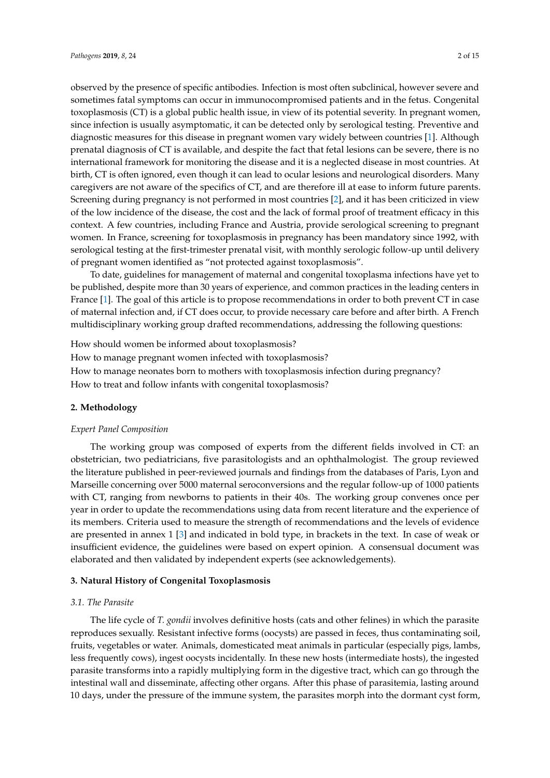observed by the presence of specific antibodies. Infection is most often subclinical, however severe and sometimes fatal symptoms can occur in immunocompromised patients and in the fetus. Congenital toxoplasmosis (CT) is a global public health issue, in view of its potential severity. In pregnant women, since infection is usually asymptomatic, it can be detected only by serological testing. Preventive and diagnostic measures for this disease in pregnant women vary widely between countries [\[1\]](#page-11-0). Although prenatal diagnosis of CT is available, and despite the fact that fetal lesions can be severe, there is no international framework for monitoring the disease and it is a neglected disease in most countries. At birth, CT is often ignored, even though it can lead to ocular lesions and neurological disorders. Many caregivers are not aware of the specifics of CT, and are therefore ill at ease to inform future parents. Screening during pregnancy is not performed in most countries [\[2\]](#page-11-1), and it has been criticized in view of the low incidence of the disease, the cost and the lack of formal proof of treatment efficacy in this context. A few countries, including France and Austria, provide serological screening to pregnant women. In France, screening for toxoplasmosis in pregnancy has been mandatory since 1992, with serological testing at the first-trimester prenatal visit, with monthly serologic follow-up until delivery of pregnant women identified as "not protected against toxoplasmosis".

To date, guidelines for management of maternal and congenital toxoplasma infections have yet to be published, despite more than 30 years of experience, and common practices in the leading centers in France [\[1\]](#page-11-0). The goal of this article is to propose recommendations in order to both prevent CT in case of maternal infection and, if CT does occur, to provide necessary care before and after birth. A French multidisciplinary working group drafted recommendations, addressing the following questions:

How should women be informed about toxoplasmosis? How to manage pregnant women infected with toxoplasmosis? How to manage neonates born to mothers with toxoplasmosis infection during pregnancy? How to treat and follow infants with congenital toxoplasmosis?

# **2. Methodology**

# *Expert Panel Composition*

The working group was composed of experts from the different fields involved in CT: an obstetrician, two pediatricians, five parasitologists and an ophthalmologist. The group reviewed the literature published in peer-reviewed journals and findings from the databases of Paris, Lyon and Marseille concerning over 5000 maternal seroconversions and the regular follow-up of 1000 patients with CT, ranging from newborns to patients in their 40s. The working group convenes once per year in order to update the recommendations using data from recent literature and the experience of its members. Criteria used to measure the strength of recommendations and the levels of evidence are presented in annex 1 [\[3\]](#page-11-2) and indicated in bold type, in brackets in the text. In case of weak or insufficient evidence, the guidelines were based on expert opinion. A consensual document was elaborated and then validated by independent experts (see acknowledgements).

# **3. Natural History of Congenital Toxoplasmosis**

# *3.1. The Parasite*

The life cycle of *T. gondii* involves definitive hosts (cats and other felines) in which the parasite reproduces sexually. Resistant infective forms (oocysts) are passed in feces, thus contaminating soil, fruits, vegetables or water. Animals, domesticated meat animals in particular (especially pigs, lambs, less frequently cows), ingest oocysts incidentally. In these new hosts (intermediate hosts), the ingested parasite transforms into a rapidly multiplying form in the digestive tract, which can go through the intestinal wall and disseminate, affecting other organs. After this phase of parasitemia, lasting around 10 days, under the pressure of the immune system, the parasites morph into the dormant cyst form,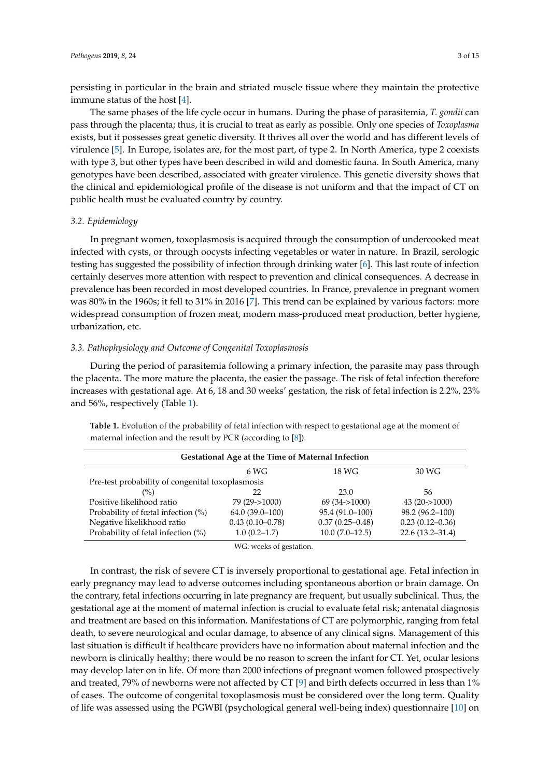persisting in particular in the brain and striated muscle tissue where they maintain the protective immune status of the host [\[4\]](#page-11-3).

The same phases of the life cycle occur in humans. During the phase of parasitemia, *T. gondii* can pass through the placenta; thus, it is crucial to treat as early as possible. Only one species of *Toxoplasma* exists, but it possesses great genetic diversity. It thrives all over the world and has different levels of virulence [\[5\]](#page-11-4). In Europe, isolates are, for the most part, of type 2. In North America, type 2 coexists with type 3, but other types have been described in wild and domestic fauna. In South America, many genotypes have been described, associated with greater virulence. This genetic diversity shows that the clinical and epidemiological profile of the disease is not uniform and that the impact of CT on public health must be evaluated country by country.

## *3.2. Epidemiology*

In pregnant women, toxoplasmosis is acquired through the consumption of undercooked meat infected with cysts, or through oocysts infecting vegetables or water in nature. In Brazil, serologic testing has suggested the possibility of infection through drinking water [\[6\]](#page-12-0). This last route of infection certainly deserves more attention with respect to prevention and clinical consequences. A decrease in prevalence has been recorded in most developed countries. In France, prevalence in pregnant women was 80% in the 1960s; it fell to 31% in 2016 [\[7\]](#page-12-1). This trend can be explained by various factors: more widespread consumption of frozen meat, modern mass-produced meat production, better hygiene, urbanization, etc.

#### *3.3. Pathophysiology and Outcome of Congenital Toxoplasmosis*

During the period of parasitemia following a primary infection, the parasite may pass through the placenta. The more mature the placenta, the easier the passage. The risk of fetal infection therefore increases with gestational age. At 6, 18 and 30 weeks' gestation, the risk of fetal infection is 2.2%, 23% and 56%, respectively (Table [1\)](#page-2-0).

<span id="page-2-0"></span>**Table 1.** Evolution of the probability of fetal infection with respect to gestational age at the moment of maternal infection and the result by PCR (according to [\[8\]](#page-12-2)).

| Gestational Age at the Time of Maternal Infection |                   |                     |                     |  |  |
|---------------------------------------------------|-------------------|---------------------|---------------------|--|--|
|                                                   | 6 WG              | 18 WG               | 30 WG               |  |  |
| Pre-test probability of congenital toxoplasmosis  |                   |                     |                     |  |  |
| $\binom{0}{0}$                                    | 22                | 23.0                | 56                  |  |  |
| Positive likelihood ratio                         | 79 (29->1000)     | $69(34-1000)$       | $43(20-1000)$       |  |  |
| Probability of fœtal infection (%)                | $64.0(39.0-100)$  | 95.4 (91.0-100)     | 98.2 (96.2-100)     |  |  |
| Negative likelikhood ratio                        | $0.43(0.10-0.78)$ | $0.37(0.25 - 0.48)$ | $0.23(0.12 - 0.36)$ |  |  |
| Probability of fetal infection (%)                | $1.0(0.2 - 1.7)$  | $10.0 (7.0 - 12.5)$ | $22.6(13.2 - 31.4)$ |  |  |

WG: weeks of gestation.

In contrast, the risk of severe CT is inversely proportional to gestational age. Fetal infection in early pregnancy may lead to adverse outcomes including spontaneous abortion or brain damage. On the contrary, fetal infections occurring in late pregnancy are frequent, but usually subclinical. Thus, the gestational age at the moment of maternal infection is crucial to evaluate fetal risk; antenatal diagnosis and treatment are based on this information. Manifestations of CT are polymorphic, ranging from fetal death, to severe neurological and ocular damage, to absence of any clinical signs. Management of this last situation is difficult if healthcare providers have no information about maternal infection and the newborn is clinically healthy; there would be no reason to screen the infant for CT. Yet, ocular lesions may develop later on in life. Of more than 2000 infections of pregnant women followed prospectively and treated, 79% of newborns were not affected by CT [\[9\]](#page-12-3) and birth defects occurred in less than 1% of cases. The outcome of congenital toxoplasmosis must be considered over the long term. Quality of life was assessed using the PGWBI (psychological general well-being index) questionnaire [\[10\]](#page-12-4) on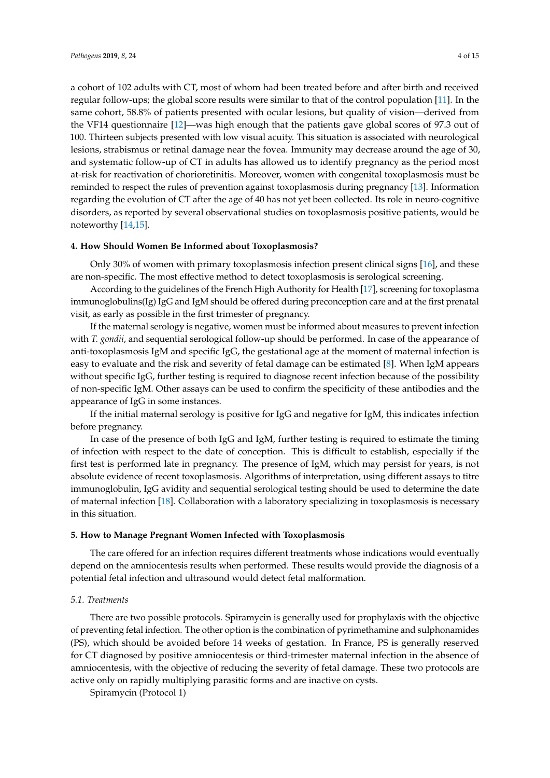a cohort of 102 adults with CT, most of whom had been treated before and after birth and received regular follow-ups; the global score results were similar to that of the control population [\[11\]](#page-12-5). In the same cohort, 58.8% of patients presented with ocular lesions, but quality of vision—derived from the VF14 questionnaire [\[12\]](#page-12-6)—was high enough that the patients gave global scores of 97.3 out of 100. Thirteen subjects presented with low visual acuity. This situation is associated with neurological lesions, strabismus or retinal damage near the fovea. Immunity may decrease around the age of 30, and systematic follow-up of CT in adults has allowed us to identify pregnancy as the period most at-risk for reactivation of chorioretinitis. Moreover, women with congenital toxoplasmosis must be reminded to respect the rules of prevention against toxoplasmosis during pregnancy [\[13\]](#page-12-7). Information regarding the evolution of CT after the age of 40 has not yet been collected. Its role in neuro-cognitive disorders, as reported by several observational studies on toxoplasmosis positive patients, would be noteworthy [\[14](#page-12-8)[,15\]](#page-12-9).

### **4. How Should Women Be Informed about Toxoplasmosis?**

Only 30% of women with primary toxoplasmosis infection present clinical signs [\[16\]](#page-12-10), and these are non-specific. The most effective method to detect toxoplasmosis is serological screening.

According to the guidelines of the French High Authority for Health [\[17\]](#page-12-11), screening for toxoplasma immunoglobulins(Ig) IgG and IgM should be offered during preconception care and at the first prenatal visit, as early as possible in the first trimester of pregnancy.

If the maternal serology is negative, women must be informed about measures to prevent infection with *T. gondii*, and sequential serological follow-up should be performed. In case of the appearance of anti-toxoplasmosis IgM and specific IgG, the gestational age at the moment of maternal infection is easy to evaluate and the risk and severity of fetal damage can be estimated [\[8\]](#page-12-2). When IgM appears without specific IgG, further testing is required to diagnose recent infection because of the possibility of non-specific IgM. Other assays can be used to confirm the specificity of these antibodies and the appearance of IgG in some instances.

If the initial maternal serology is positive for IgG and negative for IgM, this indicates infection before pregnancy.

In case of the presence of both IgG and IgM, further testing is required to estimate the timing of infection with respect to the date of conception. This is difficult to establish, especially if the first test is performed late in pregnancy. The presence of IgM, which may persist for years, is not absolute evidence of recent toxoplasmosis. Algorithms of interpretation, using different assays to titre immunoglobulin, IgG avidity and sequential serological testing should be used to determine the date of maternal infection [\[18\]](#page-12-12). Collaboration with a laboratory specializing in toxoplasmosis is necessary in this situation.

#### **5. How to Manage Pregnant Women Infected with Toxoplasmosis**

The care offered for an infection requires different treatments whose indications would eventually depend on the amniocentesis results when performed. These results would provide the diagnosis of a potential fetal infection and ultrasound would detect fetal malformation.

#### *5.1. Treatments*

There are two possible protocols. Spiramycin is generally used for prophylaxis with the objective of preventing fetal infection. The other option is the combination of pyrimethamine and sulphonamides (PS), which should be avoided before 14 weeks of gestation. In France, PS is generally reserved for CT diagnosed by positive amniocentesis or third-trimester maternal infection in the absence of amniocentesis, with the objective of reducing the severity of fetal damage. These two protocols are active only on rapidly multiplying parasitic forms and are inactive on cysts.

Spiramycin (Protocol 1)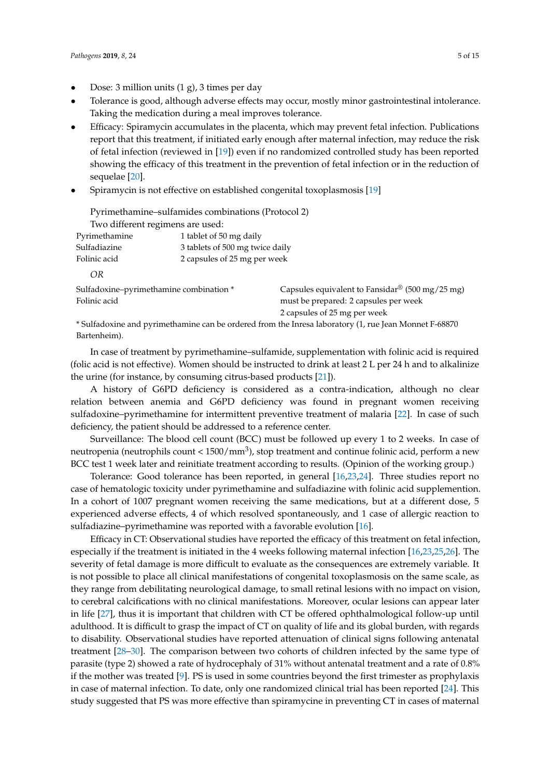- Dose: 3 million units (1 g), 3 times per day
- Tolerance is good, although adverse effects may occur, mostly minor gastrointestinal intolerance. Taking the medication during a meal improves tolerance.
- Efficacy: Spiramycin accumulates in the placenta, which may prevent fetal infection. Publications report that this treatment, if initiated early enough after maternal infection, may reduce the risk of fetal infection (reviewed in [\[19\]](#page-12-13)) even if no randomized controlled study has been reported showing the efficacy of this treatment in the prevention of fetal infection or in the reduction of sequelae [\[20\]](#page-12-14).
- Spiramycin is not effective on established congenital toxoplasmosis [\[19\]](#page-12-13)

Pyrimethamine–sulfamides combinations (Protocol 2) Two different regimens are used: Pyrimethamine 1 tablet of 50 mg daily

| Sulfadiazine | 3 tablets of 500 mg twice daily |
|--------------|---------------------------------|
| Folinic acid | 2 capsules of 25 mg per week    |

#### *OR*

| Capsules equivalent to Fansidar® (500 mg/25 mg) |
|-------------------------------------------------|
| must be prepared: 2 capsules per week           |
| 2 capsules of 25 mg per week                    |
|                                                 |

\* Sulfadoxine and pyrimethamine can be ordered from the Inresa laboratory (1, rue Jean Monnet F-68870 Bartenheim).

In case of treatment by pyrimethamine–sulfamide, supplementation with folinic acid is required (folic acid is not effective). Women should be instructed to drink at least 2 L per 24 h and to alkalinize the urine (for instance, by consuming citrus-based products [\[21\]](#page-12-15)).

A history of G6PD deficiency is considered as a contra-indication, although no clear relation between anemia and G6PD deficiency was found in pregnant women receiving sulfadoxine–pyrimethamine for intermittent preventive treatment of malaria [\[22\]](#page-12-16). In case of such deficiency, the patient should be addressed to a reference center.

Surveillance: The blood cell count (BCC) must be followed up every 1 to 2 weeks. In case of neutropenia (neutrophils count < 1500/mm $^3$ ), stop treatment and continue folinic acid, perform a new BCC test 1 week later and reinitiate treatment according to results. (Opinion of the working group.)

Tolerance: Good tolerance has been reported, in general [\[16,](#page-12-10)[23,](#page-12-17)[24\]](#page-12-18). Three studies report no case of hematologic toxicity under pyrimethamine and sulfadiazine with folinic acid supplemention. In a cohort of 1007 pregnant women receiving the same medications, but at a different dose, 5 experienced adverse effects, 4 of which resolved spontaneously, and 1 case of allergic reaction to sulfadiazine–pyrimethamine was reported with a favorable evolution [\[16\]](#page-12-10).

Efficacy in CT: Observational studies have reported the efficacy of this treatment on fetal infection, especially if the treatment is initiated in the 4 weeks following maternal infection [\[16,](#page-12-10)[23,](#page-12-17)[25,](#page-12-19)[26\]](#page-13-0). The severity of fetal damage is more difficult to evaluate as the consequences are extremely variable. It is not possible to place all clinical manifestations of congenital toxoplasmosis on the same scale, as they range from debilitating neurological damage, to small retinal lesions with no impact on vision, to cerebral calcifications with no clinical manifestations. Moreover, ocular lesions can appear later in life [\[27\]](#page-13-1), thus it is important that children with CT be offered ophthalmological follow-up until adulthood. It is difficult to grasp the impact of CT on quality of life and its global burden, with regards to disability. Observational studies have reported attenuation of clinical signs following antenatal treatment [\[28–](#page-13-2)[30\]](#page-13-3). The comparison between two cohorts of children infected by the same type of parasite (type 2) showed a rate of hydrocephaly of 31% without antenatal treatment and a rate of 0.8% if the mother was treated [\[9\]](#page-12-3). PS is used in some countries beyond the first trimester as prophylaxis in case of maternal infection. To date, only one randomized clinical trial has been reported [\[24\]](#page-12-18). This study suggested that PS was more effective than spiramycine in preventing CT in cases of maternal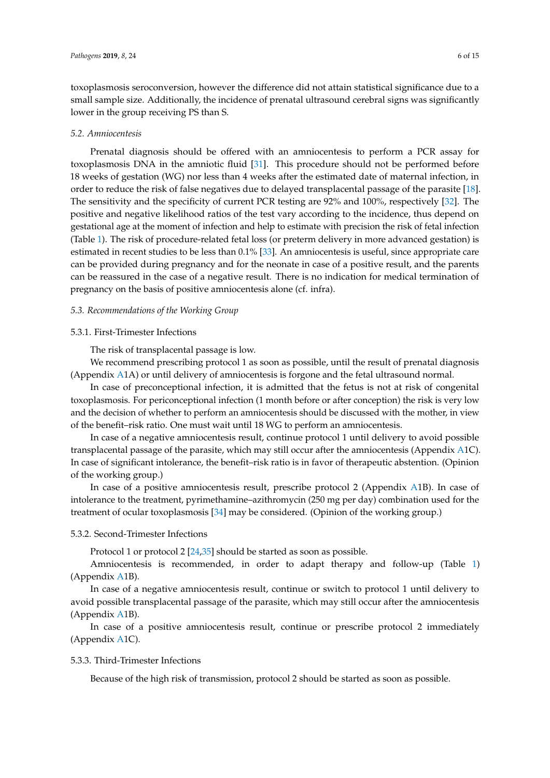toxoplasmosis seroconversion, however the difference did not attain statistical significance due to a small sample size. Additionally, the incidence of prenatal ultrasound cerebral signs was significantly lower in the group receiving PS than S.

#### *5.2. Amniocentesis*

Prenatal diagnosis should be offered with an amniocentesis to perform a PCR assay for toxoplasmosis DNA in the amniotic fluid [\[31\]](#page-13-4). This procedure should not be performed before 18 weeks of gestation (WG) nor less than 4 weeks after the estimated date of maternal infection, in order to reduce the risk of false negatives due to delayed transplacental passage of the parasite [\[18\]](#page-12-12). The sensitivity and the specificity of current PCR testing are 92% and 100%, respectively [\[32\]](#page-13-5). The positive and negative likelihood ratios of the test vary according to the incidence, thus depend on gestational age at the moment of infection and help to estimate with precision the risk of fetal infection (Table [1\)](#page-2-0). The risk of procedure-related fetal loss (or preterm delivery in more advanced gestation) is estimated in recent studies to be less than 0.1% [\[33\]](#page-13-6). An amniocentesis is useful, since appropriate care can be provided during pregnancy and for the neonate in case of a positive result, and the parents can be reassured in the case of a negative result. There is no indication for medical termination of pregnancy on the basis of positive amniocentesis alone (cf. infra).

# *5.3. Recommendations of the Working Group*

#### 5.3.1. First-Trimester Infections

The risk of transplacental passage is low.

We recommend prescribing protocol 1 as soon as possible, until the result of prenatal diagnosis (Appendix [A1](#page-10-0)A) or until delivery of amniocentesis is forgone and the fetal ultrasound normal.

In case of preconceptional infection, it is admitted that the fetus is not at risk of congenital toxoplasmosis. For periconceptional infection (1 month before or after conception) the risk is very low and the decision of whether to perform an amniocentesis should be discussed with the mother, in view of the benefit–risk ratio. One must wait until 18 WG to perform an amniocentesis.

In case of a negative amniocentesis result, continue protocol 1 until delivery to avoid possible transplacental passage of the parasite, which may still occur after the amniocentesis (Appendix [A1](#page-10-0)C). In case of significant intolerance, the benefit–risk ratio is in favor of therapeutic abstention. (Opinion of the working group.)

In case of a positive amniocentesis result, prescribe protocol 2 (Appendix [A1](#page-10-0)B). In case of intolerance to the treatment, pyrimethamine–azithromycin (250 mg per day) combination used for the treatment of ocular toxoplasmosis [\[34\]](#page-13-7) may be considered. (Opinion of the working group.)

#### 5.3.2. Second-Trimester Infections

Protocol 1 or protocol 2 [\[24,](#page-12-18)[35\]](#page-13-8) should be started as soon as possible.

Amniocentesis is recommended, in order to adapt therapy and follow-up (Table [1\)](#page-2-0) (Appendix [A1](#page-10-0)B).

In case of a negative amniocentesis result, continue or switch to protocol 1 until delivery to avoid possible transplacental passage of the parasite, which may still occur after the amniocentesis (Appendix [A1](#page-10-0)B).

In case of a positive amniocentesis result, continue or prescribe protocol 2 immediately (Appendix [A1](#page-10-0)C).

### 5.3.3. Third-Trimester Infections

Because of the high risk of transmission, protocol 2 should be started as soon as possible.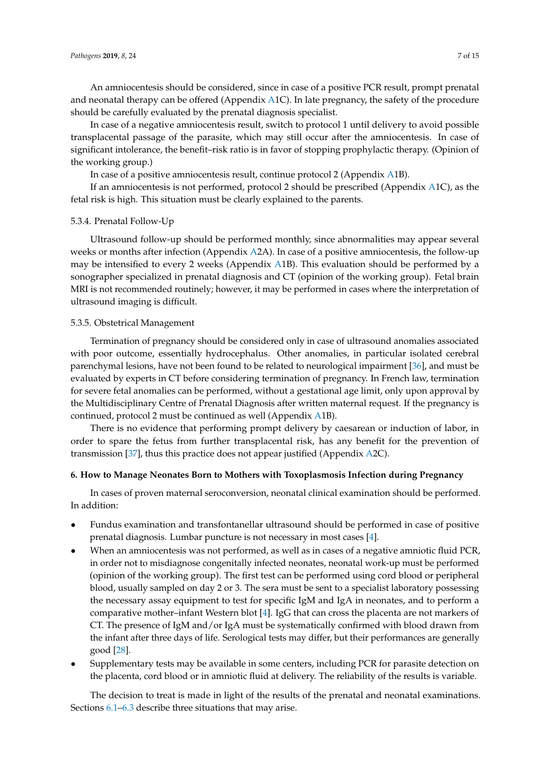An amniocentesis should be considered, since in case of a positive PCR result, prompt prenatal and neonatal therapy can be offered (Appendix [A1](#page-10-0)C). In late pregnancy, the safety of the procedure should be carefully evaluated by the prenatal diagnosis specialist.

In case of a negative amniocentesis result, switch to protocol 1 until delivery to avoid possible transplacental passage of the parasite, which may still occur after the amniocentesis. In case of significant intolerance, the benefit–risk ratio is in favor of stopping prophylactic therapy. (Opinion of the working group.)

In case of a positive amniocentesis result, continue protocol 2 (Appendix [A1](#page-10-0)B).

If an amniocentesis is not performed, protocol 2 should be prescribed (Appendix [A1](#page-10-0)C), as the fetal risk is high. This situation must be clearly explained to the parents.

#### 5.3.4. Prenatal Follow-Up

Ultrasound follow-up should be performed monthly, since abnormalities may appear several weeks or months after infection (Appendix [A2](#page-10-0)A). In case of a positive amniocentesis, the follow-up may be intensified to every 2 weeks (Appendix [A1](#page-10-0)B). This evaluation should be performed by a sonographer specialized in prenatal diagnosis and CT (opinion of the working group). Fetal brain MRI is not recommended routinely; however, it may be performed in cases where the interpretation of ultrasound imaging is difficult.

#### 5.3.5. Obstetrical Management

Termination of pregnancy should be considered only in case of ultrasound anomalies associated with poor outcome, essentially hydrocephalus. Other anomalies, in particular isolated cerebral parenchymal lesions, have not been found to be related to neurological impairment [\[36\]](#page-13-9), and must be evaluated by experts in CT before considering termination of pregnancy. In French law, termination for severe fetal anomalies can be performed, without a gestational age limit, only upon approval by the Multidisciplinary Centre of Prenatal Diagnosis after written maternal request. If the pregnancy is continued, protocol 2 must be continued as well (Appendix [A1](#page-10-0)B).

There is no evidence that performing prompt delivery by caesarean or induction of labor, in order to spare the fetus from further transplacental risk, has any benefit for the prevention of transmission [\[37\]](#page-13-10), thus this practice does not appear justified (Appendix [A2](#page-10-0)C).

# **6. How to Manage Neonates Born to Mothers with Toxoplasmosis Infection during Pregnancy**

In cases of proven maternal seroconversion, neonatal clinical examination should be performed. In addition:

- Fundus examination and transfontanellar ultrasound should be performed in case of positive prenatal diagnosis. Lumbar puncture is not necessary in most cases [\[4\]](#page-11-3).
- When an amniocentesis was not performed, as well as in cases of a negative amniotic fluid PCR, in order not to misdiagnose congenitally infected neonates, neonatal work-up must be performed (opinion of the working group). The first test can be performed using cord blood or peripheral blood, usually sampled on day 2 or 3. The sera must be sent to a specialist laboratory possessing the necessary assay equipment to test for specific IgM and IgA in neonates, and to perform a comparative mother–infant Western blot [\[4\]](#page-11-3). IgG that can cross the placenta are not markers of CT. The presence of IgM and/or IgA must be systematically confirmed with blood drawn from the infant after three days of life. Serological tests may differ, but their performances are generally good [\[28\]](#page-13-2).
- Supplementary tests may be available in some centers, including PCR for parasite detection on the placenta, cord blood or in amniotic fluid at delivery. The reliability of the results is variable.

The decision to treat is made in light of the results of the prenatal and neonatal examinations. Sections [6.1](#page-7-0)[–6.3](#page-8-0) describe three situations that may arise.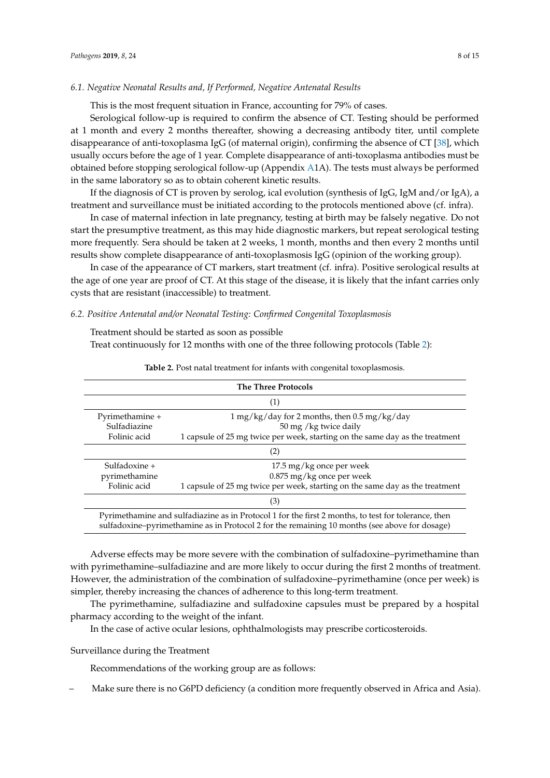#### <span id="page-7-0"></span>*6.1. Negative Neonatal Results and, If Performed, Negative Antenatal Results*

This is the most frequent situation in France, accounting for 79% of cases.

Serological follow-up is required to confirm the absence of CT. Testing should be performed at 1 month and every 2 months thereafter, showing a decreasing antibody titer, until complete disappearance of anti-toxoplasma IgG (of maternal origin), confirming the absence of CT [\[38\]](#page-13-11), which usually occurs before the age of 1 year. Complete disappearance of anti-toxoplasma antibodies must be obtained before stopping serological follow-up (Appendix [A1](#page-10-0)A). The tests must always be performed in the same laboratory so as to obtain coherent kinetic results.

If the diagnosis of CT is proven by serolog, ical evolution (synthesis of IgG, IgM and/or IgA), a treatment and surveillance must be initiated according to the protocols mentioned above (cf. infra).

In case of maternal infection in late pregnancy, testing at birth may be falsely negative. Do not start the presumptive treatment, as this may hide diagnostic markers, but repeat serological testing more frequently. Sera should be taken at 2 weeks, 1 month, months and then every 2 months until results show complete disappearance of anti-toxoplasmosis IgG (opinion of the working group).

In case of the appearance of CT markers, start treatment (cf. infra). Positive serological results at the age of one year are proof of CT. At this stage of the disease, it is likely that the infant carries only cysts that are resistant (inaccessible) to treatment.

#### *6.2. Positive Antenatal and/or Neonatal Testing: Confirmed Congenital Toxoplasmosis*

Treatment should be started as soon as possible Treat continuously for 12 months with one of the three following protocols (Table [2\)](#page-7-1):

<span id="page-7-1"></span>

| <b>The Three Protocols</b>                                                                                                                                                                           |                                                                              |  |  |
|------------------------------------------------------------------------------------------------------------------------------------------------------------------------------------------------------|------------------------------------------------------------------------------|--|--|
| (1)                                                                                                                                                                                                  |                                                                              |  |  |
| Pyrimethamine +                                                                                                                                                                                      | 1 mg/kg/day for 2 months, then 0.5 mg/kg/day                                 |  |  |
| Sulfadiazine                                                                                                                                                                                         | 50 mg /kg twice daily                                                        |  |  |
| Folinic acid                                                                                                                                                                                         | 1 capsule of 25 mg twice per week, starting on the same day as the treatment |  |  |
| (2)                                                                                                                                                                                                  |                                                                              |  |  |
| Sulfadoxine +                                                                                                                                                                                        | 17.5 mg/kg once per week                                                     |  |  |
| pyrimethamine                                                                                                                                                                                        | 0.875 mg/kg once per week                                                    |  |  |
| Folinic acid                                                                                                                                                                                         | 1 capsule of 25 mg twice per week, starting on the same day as the treatment |  |  |
| (3)                                                                                                                                                                                                  |                                                                              |  |  |
| Pyrimethamine and sulfadiazine as in Protocol 1 for the first 2 months, to test for tolerance, then<br>sulfadoxine-pyrimethamine as in Protocol 2 for the remaining 10 months (see above for dosage) |                                                                              |  |  |

**Table 2.** Post natal treatment for infants with congenital toxoplasmosis.

Adverse effects may be more severe with the combination of sulfadoxine–pyrimethamine than with pyrimethamine–sulfadiazine and are more likely to occur during the first 2 months of treatment. However, the administration of the combination of sulfadoxine–pyrimethamine (once per week) is simpler, thereby increasing the chances of adherence to this long-term treatment.

The pyrimethamine, sulfadiazine and sulfadoxine capsules must be prepared by a hospital pharmacy according to the weight of the infant.

In the case of active ocular lesions, ophthalmologists may prescribe corticosteroids.

Surveillance during the Treatment

Recommendations of the working group are as follows:

– Make sure there is no G6PD deficiency (a condition more frequently observed in Africa and Asia).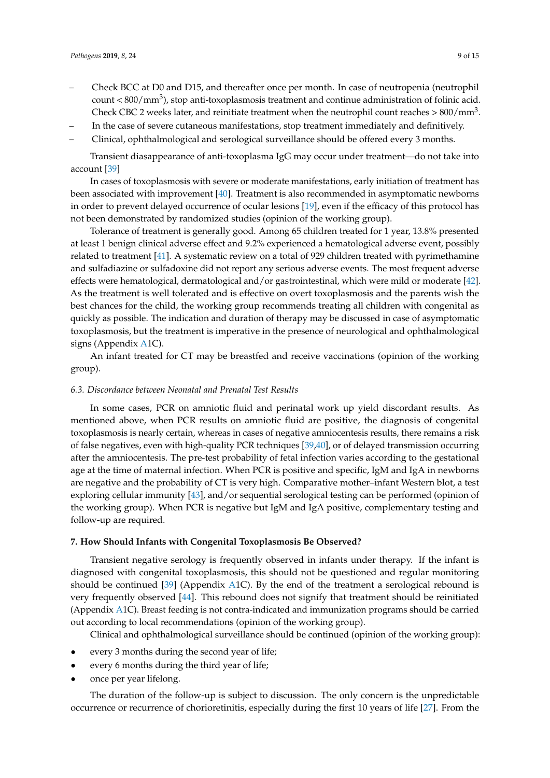- Check BCC at D0 and D15, and thereafter once per month. In case of neutropenia (neutrophil count < 800/mm<sup>3</sup>), stop anti-toxoplasmosis treatment and continue administration of folinic acid. Check CBC 2 weeks later, and reinitiate treatment when the neutrophil count reaches >  $800/\text{mm}^3$ .
- In the case of severe cutaneous manifestations, stop treatment immediately and definitively.
- Clinical, ophthalmological and serological surveillance should be offered every 3 months.

Transient diasappearance of anti-toxoplasma IgG may occur under treatment—do not take into account [\[39\]](#page-13-12)

In cases of toxoplasmosis with severe or moderate manifestations, early initiation of treatment has been associated with improvement [\[40\]](#page-13-13). Treatment is also recommended in asymptomatic newborns in order to prevent delayed occurrence of ocular lesions [\[19\]](#page-12-13), even if the efficacy of this protocol has not been demonstrated by randomized studies (opinion of the working group).

Tolerance of treatment is generally good. Among 65 children treated for 1 year, 13.8% presented at least 1 benign clinical adverse effect and 9.2% experienced a hematological adverse event, possibly related to treatment [\[41\]](#page-13-14). A systematic review on a total of 929 children treated with pyrimethamine and sulfadiazine or sulfadoxine did not report any serious adverse events. The most frequent adverse effects were hematological, dermatological and/or gastrointestinal, which were mild or moderate [\[42\]](#page-13-15). As the treatment is well tolerated and is effective on overt toxoplasmosis and the parents wish the best chances for the child, the working group recommends treating all children with congenital as quickly as possible. The indication and duration of therapy may be discussed in case of asymptomatic toxoplasmosis, but the treatment is imperative in the presence of neurological and ophthalmological signs (Appendix [A1](#page-10-0)C).

An infant treated for CT may be breastfed and receive vaccinations (opinion of the working group).

# <span id="page-8-0"></span>*6.3. Discordance between Neonatal and Prenatal Test Results*

In some cases, PCR on amniotic fluid and perinatal work up yield discordant results. As mentioned above, when PCR results on amniotic fluid are positive, the diagnosis of congenital toxoplasmosis is nearly certain, whereas in cases of negative amniocentesis results, there remains a risk of false negatives, even with high-quality PCR techniques [\[39](#page-13-12)[,40\]](#page-13-13), or of delayed transmission occurring after the amniocentesis. The pre-test probability of fetal infection varies according to the gestational age at the time of maternal infection. When PCR is positive and specific, IgM and IgA in newborns are negative and the probability of CT is very high. Comparative mother–infant Western blot, a test exploring cellular immunity [\[43\]](#page-13-16), and/or sequential serological testing can be performed (opinion of the working group). When PCR is negative but IgM and IgA positive, complementary testing and follow-up are required.

#### **7. How Should Infants with Congenital Toxoplasmosis Be Observed?**

Transient negative serology is frequently observed in infants under therapy. If the infant is diagnosed with congenital toxoplasmosis, this should not be questioned and regular monitoring should be continued [\[39\]](#page-13-12) (Appendix [A1](#page-10-0)C). By the end of the treatment a serological rebound is very frequently observed [\[44\]](#page-13-17). This rebound does not signify that treatment should be reinitiated (Appendix [A1](#page-10-0)C). Breast feeding is not contra-indicated and immunization programs should be carried out according to local recommendations (opinion of the working group).

Clinical and ophthalmological surveillance should be continued (opinion of the working group):

- every 3 months during the second year of life;
- every 6 months during the third year of life;
- once per year lifelong.

The duration of the follow-up is subject to discussion. The only concern is the unpredictable occurrence or recurrence of chorioretinitis, especially during the first 10 years of life [\[27\]](#page-13-1). From the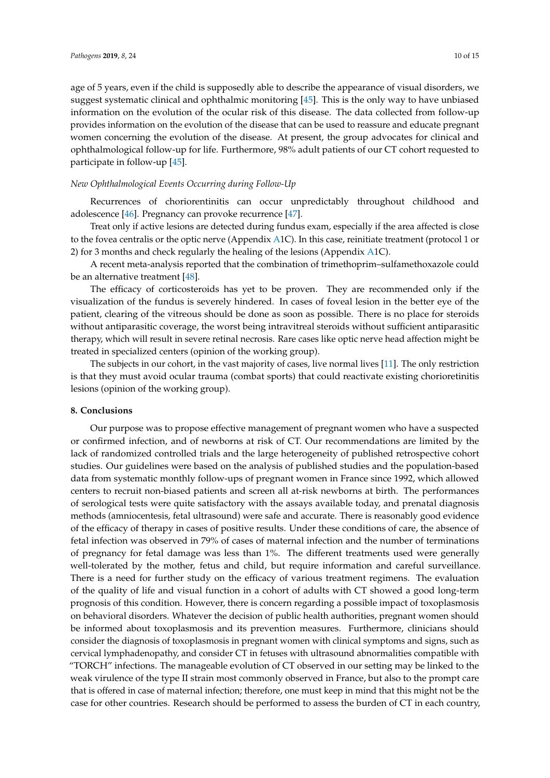age of 5 years, even if the child is supposedly able to describe the appearance of visual disorders, we suggest systematic clinical and ophthalmic monitoring [\[45\]](#page-14-0). This is the only way to have unbiased information on the evolution of the ocular risk of this disease. The data collected from follow-up provides information on the evolution of the disease that can be used to reassure and educate pregnant women concerning the evolution of the disease. At present, the group advocates for clinical and ophthalmological follow-up for life. Furthermore, 98% adult patients of our CT cohort requested to participate in follow-up [\[45\]](#page-14-0).

#### *New Ophthalmological Events Occurring during Follow-Up*

Recurrences of choriorentinitis can occur unpredictably throughout childhood and adolescence [\[46\]](#page-14-1). Pregnancy can provoke recurrence [\[47\]](#page-14-2).

Treat only if active lesions are detected during fundus exam, especially if the area affected is close to the fovea centralis or the optic nerve (Appendix [A1](#page-10-0)C). In this case, reinitiate treatment (protocol 1 or 2) for 3 months and check regularly the healing of the lesions (Appendix [A1](#page-10-0)C).

A recent meta-analysis reported that the combination of trimethoprim–sulfamethoxazole could be an alternative treatment [\[48\]](#page-14-3).

The efficacy of corticosteroids has yet to be proven. They are recommended only if the visualization of the fundus is severely hindered. In cases of foveal lesion in the better eye of the patient, clearing of the vitreous should be done as soon as possible. There is no place for steroids without antiparasitic coverage, the worst being intravitreal steroids without sufficient antiparasitic therapy, which will result in severe retinal necrosis. Rare cases like optic nerve head affection might be treated in specialized centers (opinion of the working group).

The subjects in our cohort, in the vast majority of cases, live normal lives [\[11\]](#page-12-5). The only restriction is that they must avoid ocular trauma (combat sports) that could reactivate existing chorioretinitis lesions (opinion of the working group).

#### **8. Conclusions**

Our purpose was to propose effective management of pregnant women who have a suspected or confirmed infection, and of newborns at risk of CT. Our recommendations are limited by the lack of randomized controlled trials and the large heterogeneity of published retrospective cohort studies. Our guidelines were based on the analysis of published studies and the population-based data from systematic monthly follow-ups of pregnant women in France since 1992, which allowed centers to recruit non-biased patients and screen all at-risk newborns at birth. The performances of serological tests were quite satisfactory with the assays available today, and prenatal diagnosis methods (amniocentesis, fetal ultrasound) were safe and accurate. There is reasonably good evidence of the efficacy of therapy in cases of positive results. Under these conditions of care, the absence of fetal infection was observed in 79% of cases of maternal infection and the number of terminations of pregnancy for fetal damage was less than 1%. The different treatments used were generally well-tolerated by the mother, fetus and child, but require information and careful surveillance. There is a need for further study on the efficacy of various treatment regimens. The evaluation of the quality of life and visual function in a cohort of adults with CT showed a good long-term prognosis of this condition. However, there is concern regarding a possible impact of toxoplasmosis on behavioral disorders. Whatever the decision of public health authorities, pregnant women should be informed about toxoplasmosis and its prevention measures. Furthermore, clinicians should consider the diagnosis of toxoplasmosis in pregnant women with clinical symptoms and signs, such as cervical lymphadenopathy, and consider CT in fetuses with ultrasound abnormalities compatible with "TORCH" infections. The manageable evolution of CT observed in our setting may be linked to the weak virulence of the type II strain most commonly observed in France, but also to the prompt care that is offered in case of maternal infection; therefore, one must keep in mind that this might not be the case for other countries. Research should be performed to assess the burden of CT in each country,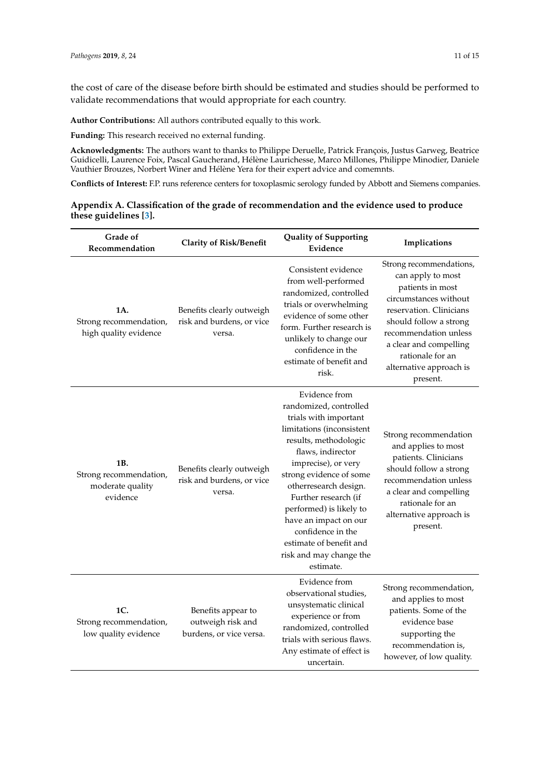the cost of care of the disease before birth should be estimated and studies should be performed to validate recommendations that would appropriate for each country.

**Author Contributions:** All authors contributed equally to this work.

**Funding:** This research received no external funding.

**Acknowledgments:** The authors want to thanks to Philippe Deruelle, Patrick François, Justus Garweg, Beatrice Guidicelli, Laurence Foix, Pascal Gaucherand, Hélène Laurichesse, Marco Millones, Philippe Minodier, Daniele Vauthier Brouzes, Norbert Winer and Hélène Yera for their expert advice and comemnts.

**Conflicts of Interest:** F.P. runs reference centers for toxoplasmic serology funded by Abbott and Siemens companies.

<span id="page-10-0"></span>**Appendix A. Classification of the grade of recommendation and the evidence used to produce these guidelines [\[3\]](#page-11-2).**

| Grade of<br>Recommendation                                    | <b>Clarity of Risk/Benefit</b>                                     | <b>Quality of Supporting</b><br>Evidence                                                                                                                                                                                                                                                                                                                                                   | Implications                                                                                                                                                                                                                                                 |
|---------------------------------------------------------------|--------------------------------------------------------------------|--------------------------------------------------------------------------------------------------------------------------------------------------------------------------------------------------------------------------------------------------------------------------------------------------------------------------------------------------------------------------------------------|--------------------------------------------------------------------------------------------------------------------------------------------------------------------------------------------------------------------------------------------------------------|
| 1A.<br>Strong recommendation,<br>high quality evidence        | Benefits clearly outweigh<br>risk and burdens, or vice<br>versa.   | Consistent evidence<br>from well-performed<br>randomized, controlled<br>trials or overwhelming<br>evidence of some other<br>form. Further research is<br>unlikely to change our<br>confidence in the<br>estimate of benefit and<br>risk.                                                                                                                                                   | Strong recommendations,<br>can apply to most<br>patients in most<br>circumstances without<br>reservation. Clinicians<br>should follow a strong<br>recommendation unless<br>a clear and compelling<br>rationale for an<br>alternative approach is<br>present. |
| 1B.<br>Strong recommendation,<br>moderate quality<br>evidence | Benefits clearly outweigh<br>risk and burdens, or vice<br>versa.   | Evidence from<br>randomized, controlled<br>trials with important<br>limitations (inconsistent<br>results, methodologic<br>flaws, indirector<br>imprecise), or very<br>strong evidence of some<br>otherresearch design.<br>Further research (if<br>performed) is likely to<br>have an impact on our<br>confidence in the<br>estimate of benefit and<br>risk and may change the<br>estimate. | Strong recommendation<br>and applies to most<br>patients. Clinicians<br>should follow a strong<br>recommendation unless<br>a clear and compelling<br>rationale for an<br>alternative approach is<br>present.                                                 |
| 1C.<br>Strong recommendation,<br>low quality evidence         | Benefits appear to<br>outweigh risk and<br>burdens, or vice versa. | Evidence from<br>observational studies,<br>unsystematic clinical<br>experience or from<br>randomized, controlled<br>trials with serious flaws.<br>Any estimate of effect is<br>uncertain.                                                                                                                                                                                                  | Strong recommendation,<br>and applies to most<br>patients. Some of the<br>evidence base<br>supporting the<br>recommendation is,<br>however, of low quality.                                                                                                  |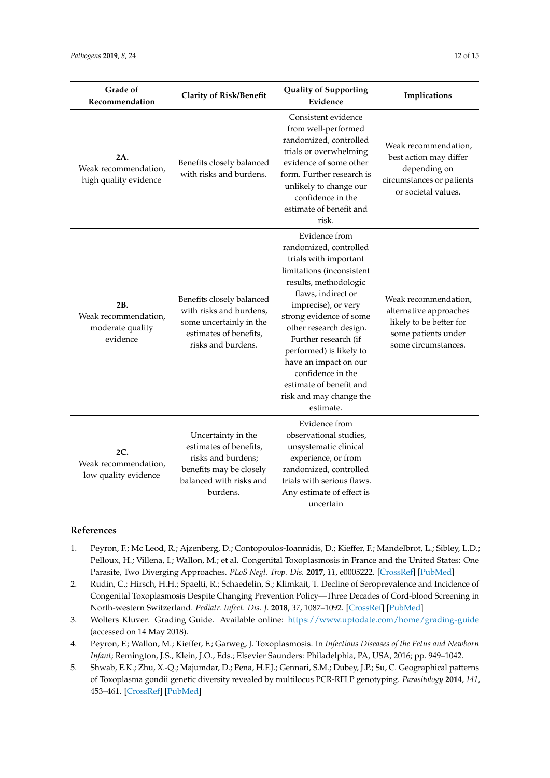| Grade of<br>Recommendation                                  | <b>Clarity of Risk/Benefit</b>                                                                                                       | <b>Quality of Supporting</b><br>Evidence                                                                                                                                                                                                                                                                                                                                                     | Implications                                                                                                            |
|-------------------------------------------------------------|--------------------------------------------------------------------------------------------------------------------------------------|----------------------------------------------------------------------------------------------------------------------------------------------------------------------------------------------------------------------------------------------------------------------------------------------------------------------------------------------------------------------------------------------|-------------------------------------------------------------------------------------------------------------------------|
| 2A.<br>Weak recommendation,<br>high quality evidence        | Benefits closely balanced<br>with risks and burdens.                                                                                 | Consistent evidence<br>from well-performed<br>randomized, controlled<br>trials or overwhelming<br>evidence of some other<br>form. Further research is<br>unlikely to change our<br>confidence in the<br>estimate of benefit and<br>risk.                                                                                                                                                     | Weak recommendation,<br>best action may differ<br>depending on<br>circumstances or patients<br>or societal values.      |
| 2B.<br>Weak recommendation,<br>moderate quality<br>evidence | Benefits closely balanced<br>with risks and burdens,<br>some uncertainly in the<br>estimates of benefits,<br>risks and burdens.      | Evidence from<br>randomized, controlled<br>trials with important<br>limitations (inconsistent<br>results, methodologic<br>flaws, indirect or<br>imprecise), or very<br>strong evidence of some<br>other research design.<br>Further research (if<br>performed) is likely to<br>have an impact on our<br>confidence in the<br>estimate of benefit and<br>risk and may change the<br>estimate. | Weak recommendation,<br>alternative approaches<br>likely to be better for<br>some patients under<br>some circumstances. |
| 2C.<br>Weak recommendation,<br>low quality evidence         | Uncertainty in the<br>estimates of benefits,<br>risks and burdens;<br>benefits may be closely<br>balanced with risks and<br>burdens. | Evidence from<br>observational studies,<br>unsystematic clinical<br>experience, or from<br>randomized, controlled<br>trials with serious flaws.<br>Any estimate of effect is<br>uncertain                                                                                                                                                                                                    |                                                                                                                         |

# **References**

- <span id="page-11-0"></span>1. Peyron, F.; Mc Leod, R.; Ajzenberg, D.; Contopoulos-Ioannidis, D.; Kieffer, F.; Mandelbrot, L.; Sibley, L.D.; Pelloux, H.; Villena, I.; Wallon, M.; et al. Congenital Toxoplasmosis in France and the United States: One Parasite, Two Diverging Approaches. *PLoS Negl. Trop. Dis.* **2017**, *11*, e0005222. [\[CrossRef\]](http://dx.doi.org/10.1371/journal.pntd.0005222) [\[PubMed\]](http://www.ncbi.nlm.nih.gov/pubmed/28207736)
- <span id="page-11-1"></span>2. Rudin, C.; Hirsch, H.H.; Spaelti, R.; Schaedelin, S.; Klimkait, T. Decline of Seroprevalence and Incidence of Congenital Toxoplasmosis Despite Changing Prevention Policy—Three Decades of Cord-blood Screening in North-western Switzerland. *Pediatr. Infect. Dis. J.* **2018**, *37*, 1087–1092. [\[CrossRef\]](http://dx.doi.org/10.1097/INF.0000000000001978) [\[PubMed\]](http://www.ncbi.nlm.nih.gov/pubmed/29561516)
- <span id="page-11-2"></span>3. Wolters Kluver. Grading Guide. Available online: <https://www.uptodate.com/home/grading-guide> (accessed on 14 May 2018).
- <span id="page-11-3"></span>4. Peyron, F.; Wallon, M.; Kieffer, F.; Garweg, J. Toxoplasmosis. In *Infectious Diseases of the Fetus and Newborn Infant*; Remington, J.S., Klein, J.O., Eds.; Elsevier Saunders: Philadelphia, PA, USA, 2016; pp. 949–1042.
- <span id="page-11-4"></span>5. Shwab, E.K.; Zhu, X.-Q.; Majumdar, D.; Pena, H.F.J.; Gennari, S.M.; Dubey, J.P.; Su, C. Geographical patterns of Toxoplasma gondii genetic diversity revealed by multilocus PCR-RFLP genotyping. *Parasitology* **2014**, *141*, 453–461. [\[CrossRef\]](http://dx.doi.org/10.1017/S0031182013001844) [\[PubMed\]](http://www.ncbi.nlm.nih.gov/pubmed/24477076)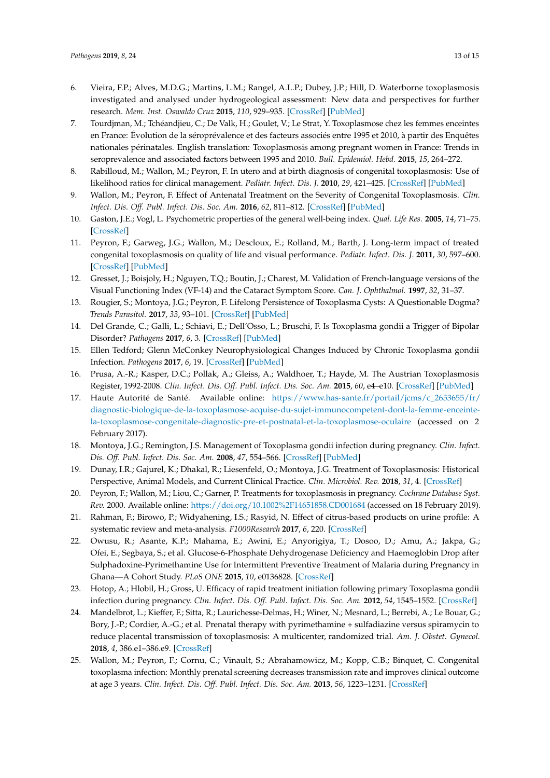- <span id="page-12-0"></span>6. Vieira, F.P.; Alves, M.D.G.; Martins, L.M.; Rangel, A.L.P.; Dubey, J.P.; Hill, D. Waterborne toxoplasmosis investigated and analysed under hydrogeological assessment: New data and perspectives for further research. *Mem. Inst. Oswaldo Cruz* **2015**, *110*, 929–935. [\[CrossRef\]](http://dx.doi.org/10.1590/0074-02760150262) [\[PubMed\]](http://www.ncbi.nlm.nih.gov/pubmed/26560984)
- <span id="page-12-1"></span>7. Tourdjman, M.; Tchéandjieu, C.; De Valk, H.; Goulet, V.; Le Strat, Y. Toxoplasmose chez les femmes enceintes en France: Évolution de la séroprévalence et des facteurs associés entre 1995 et 2010, à partir des Enquêtes nationales périnatales. English translation: Toxoplasmosis among pregnant women in France: Trends in seroprevalence and associated factors between 1995 and 2010. *Bull. Epidemiol. Hebd.* **2015**, *15*, 264–272.
- <span id="page-12-2"></span>8. Rabilloud, M.; Wallon, M.; Peyron, F. In utero and at birth diagnosis of congenital toxoplasmosis: Use of likelihood ratios for clinical management. *Pediatr. Infect. Dis. J.* **2010**, *29*, 421–425. [\[CrossRef\]](http://dx.doi.org/10.1097/INF.0b013e3181c80493) [\[PubMed\]](http://www.ncbi.nlm.nih.gov/pubmed/19952858)
- <span id="page-12-3"></span>9. Wallon, M.; Peyron, F. Effect of Antenatal Treatment on the Severity of Congenital Toxoplasmosis. *Clin. Infect. Dis. Off. Publ. Infect. Dis. Soc. Am.* **2016**, *62*, 811–812. [\[CrossRef\]](http://dx.doi.org/10.1093/cid/civ1035) [\[PubMed\]](http://www.ncbi.nlm.nih.gov/pubmed/26689954)
- <span id="page-12-4"></span>10. Gaston, J.E.; Vogl, L. Psychometric properties of the general well-being index. *Qual. Life Res.* **2005**, *14*, 71–75. [\[CrossRef\]](http://dx.doi.org/10.1007/s11136-004-0793-z)
- <span id="page-12-5"></span>11. Peyron, F.; Garweg, J.G.; Wallon, M.; Descloux, E.; Rolland, M.; Barth, J. Long-term impact of treated congenital toxoplasmosis on quality of life and visual performance. *Pediatr. Infect. Dis. J.* **2011**, *30*, 597–600. [\[CrossRef\]](http://dx.doi.org/10.1097/INF.0b013e31820bb5f3) [\[PubMed\]](http://www.ncbi.nlm.nih.gov/pubmed/21278618)
- <span id="page-12-6"></span>12. Gresset, J.; Boisjoly, H.; Nguyen, T.Q.; Boutin, J.; Charest, M. Validation of French-language versions of the Visual Functioning Index (VF-14) and the Cataract Symptom Score. *Can. J. Ophthalmol.* **1997**, *32*, 31–37.
- <span id="page-12-7"></span>13. Rougier, S.; Montoya, J.G.; Peyron, F. Lifelong Persistence of Toxoplasma Cysts: A Questionable Dogma? *Trends Parasitol.* **2017**, *33*, 93–101. [\[CrossRef\]](http://dx.doi.org/10.1016/j.pt.2016.10.007) [\[PubMed\]](http://www.ncbi.nlm.nih.gov/pubmed/27939103)
- <span id="page-12-8"></span>14. Del Grande, C.; Galli, L.; Schiavi, E.; Dell'Osso, L.; Bruschi, F. Is Toxoplasma gondii a Trigger of Bipolar Disorder? *Pathogens* **2017**, *6*, 3. [\[CrossRef\]](http://dx.doi.org/10.3390/pathogens6010003) [\[PubMed\]](http://www.ncbi.nlm.nih.gov/pubmed/28075410)
- <span id="page-12-9"></span>15. Ellen Tedford; Glenn McConkey Neurophysiological Changes Induced by Chronic Toxoplasma gondii Infection. *Pathogens* **2017**, *6*, 19. [\[CrossRef\]](http://dx.doi.org/10.3390/pathogens6020019) [\[PubMed\]](http://www.ncbi.nlm.nih.gov/pubmed/28513566)
- <span id="page-12-10"></span>16. Prusa, A.-R.; Kasper, D.C.; Pollak, A.; Gleiss, A.; Waldhoer, T.; Hayde, M. The Austrian Toxoplasmosis Register, 1992-2008. *Clin. Infect. Dis. Off. Publ. Infect. Dis. Soc. Am.* **2015**, *60*, e4–e10. [\[CrossRef\]](http://dx.doi.org/10.1093/cid/ciu724) [\[PubMed\]](http://www.ncbi.nlm.nih.gov/pubmed/25216688)
- <span id="page-12-11"></span>17. Haute Autorité de Santé. Available online: [https://www.has-sante.fr/portail/jcms/c\\_2653655/fr/](https://www.has-sante.fr/portail/jcms/c_2653655/fr/diagnostic-biologique-de-la-toxoplasmose-acquise-du-sujet-immunocompetent-dont-la-femme-enceinte-la-toxoplasmose-congenitale-diagnostic-pre-et-postnatal-et-la-toxoplasmose-oculaire) [diagnostic-biologique-de-la-toxoplasmose-acquise-du-sujet-immunocompetent-dont-la-femme-enceinte](https://www.has-sante.fr/portail/jcms/c_2653655/fr/diagnostic-biologique-de-la-toxoplasmose-acquise-du-sujet-immunocompetent-dont-la-femme-enceinte-la-toxoplasmose-congenitale-diagnostic-pre-et-postnatal-et-la-toxoplasmose-oculaire)[la-toxoplasmose-congenitale-diagnostic-pre-et-postnatal-et-la-toxoplasmose-oculaire](https://www.has-sante.fr/portail/jcms/c_2653655/fr/diagnostic-biologique-de-la-toxoplasmose-acquise-du-sujet-immunocompetent-dont-la-femme-enceinte-la-toxoplasmose-congenitale-diagnostic-pre-et-postnatal-et-la-toxoplasmose-oculaire) (accessed on 2 February 2017).
- <span id="page-12-12"></span>18. Montoya, J.G.; Remington, J.S. Management of Toxoplasma gondii infection during pregnancy. *Clin. Infect. Dis. Off. Publ. Infect. Dis. Soc. Am.* **2008**, *47*, 554–566. [\[CrossRef\]](http://dx.doi.org/10.1086/590149) [\[PubMed\]](http://www.ncbi.nlm.nih.gov/pubmed/18624630)
- <span id="page-12-13"></span>19. Dunay, I.R.; Gajurel, K.; Dhakal, R.; Liesenfeld, O.; Montoya, J.G. Treatment of Toxoplasmosis: Historical Perspective, Animal Models, and Current Clinical Practice. *Clin. Microbiol. Rev.* **2018**, *31*, 4. [\[CrossRef\]](http://dx.doi.org/10.1128/CMR.00057-17)
- <span id="page-12-14"></span>20. Peyron, F.; Wallon, M.; Liou, C.; Garner, P. Treatments for toxoplasmosis in pregnancy. *Cochrane Database Syst. Rev.* 2000. Available online: <https://doi.org/10.1002%2F14651858.CD001684> (accessed on 18 February 2019).
- <span id="page-12-15"></span>21. Rahman, F.; Birowo, P.; Widyahening, I.S.; Rasyid, N. Effect of citrus-based products on urine profile: A systematic review and meta-analysis. *F1000Research* **2017**, *6*, 220. [\[CrossRef\]](http://dx.doi.org/10.12688/f1000research.10976.1)
- <span id="page-12-16"></span>22. Owusu, R.; Asante, K.P.; Mahama, E.; Awini, E.; Anyorigiya, T.; Dosoo, D.; Amu, A.; Jakpa, G.; Ofei, E.; Segbaya, S.; et al. Glucose-6-Phosphate Dehydrogenase Deficiency and Haemoglobin Drop after Sulphadoxine-Pyrimethamine Use for Intermittent Preventive Treatment of Malaria during Pregnancy in Ghana—A Cohort Study. *PLoS ONE* **2015**, *10*, e0136828. [\[CrossRef\]](http://dx.doi.org/10.1371/journal.pone.0136828)
- <span id="page-12-17"></span>23. Hotop, A.; Hlobil, H.; Gross, U. Efficacy of rapid treatment initiation following primary Toxoplasma gondii infection during pregnancy. *Clin. Infect. Dis. Off. Publ. Infect. Dis. Soc. Am.* **2012**, *54*, 1545–1552. [\[CrossRef\]](http://dx.doi.org/10.1093/cid/cis234)
- <span id="page-12-18"></span>24. Mandelbrot, L.; Kieffer, F.; Sitta, R.; Laurichesse-Delmas, H.; Winer, N.; Mesnard, L.; Berrebi, A.; Le Bouar, G.; Bory, J.-P.; Cordier, A.-G.; et al. Prenatal therapy with pyrimethamine + sulfadiazine versus spiramycin to reduce placental transmission of toxoplasmosis: A multicenter, randomized trial. *Am. J. Obstet. Gynecol.* **2018**, *4*, 386.e1–386.e9. [\[CrossRef\]](http://dx.doi.org/10.1016/j.ajog.2018.05.031)
- <span id="page-12-19"></span>25. Wallon, M.; Peyron, F.; Cornu, C.; Vinault, S.; Abrahamowicz, M.; Kopp, C.B.; Binquet, C. Congenital toxoplasma infection: Monthly prenatal screening decreases transmission rate and improves clinical outcome at age 3 years. *Clin. Infect. Dis. Off. Publ. Infect. Dis. Soc. Am.* **2013**, *56*, 1223–1231. [\[CrossRef\]](http://dx.doi.org/10.1093/cid/cit032)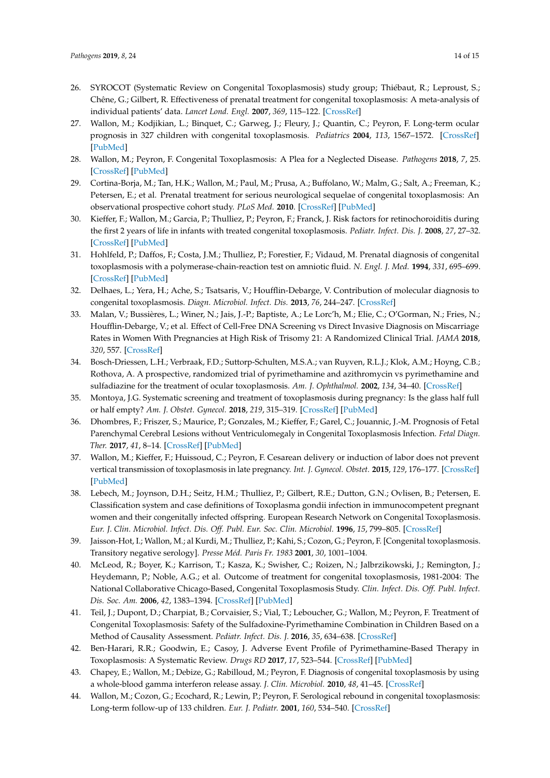- <span id="page-13-0"></span>26. SYROCOT (Systematic Review on Congenital Toxoplasmosis) study group; Thiébaut, R.; Leproust, S.; Chêne, G.; Gilbert, R. Effectiveness of prenatal treatment for congenital toxoplasmosis: A meta-analysis of individual patients' data. *Lancet Lond. Engl.* **2007**, *369*, 115–122. [\[CrossRef\]](http://dx.doi.org/10.1016/S0140-6736(07)60072-5)
- <span id="page-13-1"></span>27. Wallon, M.; Kodjikian, L.; Binquet, C.; Garweg, J.; Fleury, J.; Quantin, C.; Peyron, F. Long-term ocular prognosis in 327 children with congenital toxoplasmosis. *Pediatrics* **2004**, *113*, 1567–1572. [\[CrossRef\]](http://dx.doi.org/10.1542/peds.113.6.1567) [\[PubMed\]](http://www.ncbi.nlm.nih.gov/pubmed/15173475)
- <span id="page-13-2"></span>28. Wallon, M.; Peyron, F. Congenital Toxoplasmosis: A Plea for a Neglected Disease. *Pathogens* **2018**, *7*, 25. [\[CrossRef\]](http://dx.doi.org/10.3390/pathogens7010025) [\[PubMed\]](http://www.ncbi.nlm.nih.gov/pubmed/29473896)
- 29. Cortina-Borja, M.; Tan, H.K.; Wallon, M.; Paul, M.; Prusa, A.; Buffolano, W.; Malm, G.; Salt, A.; Freeman, K.; Petersen, E.; et al. Prenatal treatment for serious neurological sequelae of congenital toxoplasmosis: An observational prospective cohort study. *PLoS Med.* **2010**. [\[CrossRef\]](http://dx.doi.org/10.1371/journal.pmed.1000351) [\[PubMed\]](http://www.ncbi.nlm.nih.gov/pubmed/20967235)
- <span id="page-13-3"></span>30. Kieffer, F.; Wallon, M.; Garcia, P.; Thulliez, P.; Peyron, F.; Franck, J. Risk factors for retinochoroiditis during the first 2 years of life in infants with treated congenital toxoplasmosis. *Pediatr. Infect. Dis. J.* **2008**, *27*, 27–32. [\[CrossRef\]](http://dx.doi.org/10.1097/INF.0b013e318134286d) [\[PubMed\]](http://www.ncbi.nlm.nih.gov/pubmed/18162934)
- <span id="page-13-4"></span>31. Hohlfeld, P.; Daffos, F.; Costa, J.M.; Thulliez, P.; Forestier, F.; Vidaud, M. Prenatal diagnosis of congenital toxoplasmosis with a polymerase-chain-reaction test on amniotic fluid. *N. Engl. J. Med.* **1994**, *331*, 695–699. [\[CrossRef\]](http://dx.doi.org/10.1056/NEJM199409153311102) [\[PubMed\]](http://www.ncbi.nlm.nih.gov/pubmed/8058075)
- <span id="page-13-5"></span>32. Delhaes, L.; Yera, H.; Ache, S.; Tsatsaris, V.; Houfflin-Debarge, V. Contribution of molecular diagnosis to congenital toxoplasmosis. *Diagn. Microbiol. Infect. Dis.* **2013**, *76*, 244–247. [\[CrossRef\]](http://dx.doi.org/10.1016/j.diagmicrobio.2013.02.008)
- <span id="page-13-6"></span>33. Malan, V.; Bussières, L.; Winer, N.; Jais, J.-P.; Baptiste, A.; Le Lorc'h, M.; Elie, C.; O'Gorman, N.; Fries, N.; Houfflin-Debarge, V.; et al. Effect of Cell-Free DNA Screening vs Direct Invasive Diagnosis on Miscarriage Rates in Women With Pregnancies at High Risk of Trisomy 21: A Randomized Clinical Trial. *JAMA* **2018**, *320*, 557. [\[CrossRef\]](http://dx.doi.org/10.1001/jama.2018.9396)
- <span id="page-13-7"></span>34. Bosch-Driessen, L.H.; Verbraak, F.D.; Suttorp-Schulten, M.S.A.; van Ruyven, R.L.J.; Klok, A.M.; Hoyng, C.B.; Rothova, A. A prospective, randomized trial of pyrimethamine and azithromycin vs pyrimethamine and sulfadiazine for the treatment of ocular toxoplasmosis. *Am. J. Ophthalmol.* **2002**, *134*, 34–40. [\[CrossRef\]](http://dx.doi.org/10.1016/S0002-9394(02)01537-4)
- <span id="page-13-8"></span>35. Montoya, J.G. Systematic screening and treatment of toxoplasmosis during pregnancy: Is the glass half full or half empty? *Am. J. Obstet. Gynecol.* **2018**, *219*, 315–319. [\[CrossRef\]](http://dx.doi.org/10.1016/j.ajog.2018.08.001) [\[PubMed\]](http://www.ncbi.nlm.nih.gov/pubmed/30269768)
- <span id="page-13-9"></span>36. Dhombres, F.; Friszer, S.; Maurice, P.; Gonzales, M.; Kieffer, F.; Garel, C.; Jouannic, J.-M. Prognosis of Fetal Parenchymal Cerebral Lesions without Ventriculomegaly in Congenital Toxoplasmosis Infection. *Fetal Diagn. Ther.* **2017**, *41*, 8–14. [\[CrossRef\]](http://dx.doi.org/10.1159/000445113) [\[PubMed\]](http://www.ncbi.nlm.nih.gov/pubmed/27093552)
- <span id="page-13-10"></span>37. Wallon, M.; Kieffer, F.; Huissoud, C.; Peyron, F. Cesarean delivery or induction of labor does not prevent vertical transmission of toxoplasmosis in late pregnancy. *Int. J. Gynecol. Obstet.* **2015**, *129*, 176–177. [\[CrossRef\]](http://dx.doi.org/10.1016/j.ijgo.2014.10.026) [\[PubMed\]](http://www.ncbi.nlm.nih.gov/pubmed/25556076)
- <span id="page-13-11"></span>38. Lebech, M.; Joynson, D.H.; Seitz, H.M.; Thulliez, P.; Gilbert, R.E.; Dutton, G.N.; Ovlisen, B.; Petersen, E. Classification system and case definitions of Toxoplasma gondii infection in immunocompetent pregnant women and their congenitally infected offspring. European Research Network on Congenital Toxoplasmosis. *Eur. J. Clin. Microbiol. Infect. Dis. Off. Publ. Eur. Soc. Clin. Microbiol.* **1996**, *15*, 799–805. [\[CrossRef\]](http://dx.doi.org/10.1007/BF01701522)
- <span id="page-13-12"></span>39. Jaisson-Hot, I.; Wallon, M.; al Kurdi, M.; Thulliez, P.; Kahi, S.; Cozon, G.; Peyron, F. [Congenital toxoplasmosis. Transitory negative serology]. *Presse Méd. Paris Fr. 1983* **2001**, *30*, 1001–1004.
- <span id="page-13-13"></span>40. McLeod, R.; Boyer, K.; Karrison, T.; Kasza, K.; Swisher, C.; Roizen, N.; Jalbrzikowski, J.; Remington, J.; Heydemann, P.; Noble, A.G.; et al. Outcome of treatment for congenital toxoplasmosis, 1981-2004: The National Collaborative Chicago-Based, Congenital Toxoplasmosis Study. *Clin. Infect. Dis. Off. Publ. Infect. Dis. Soc. Am.* **2006**, *42*, 1383–1394. [\[CrossRef\]](http://dx.doi.org/10.1086/501360) [\[PubMed\]](http://www.ncbi.nlm.nih.gov/pubmed/16619149)
- <span id="page-13-14"></span>41. Teil, J.; Dupont, D.; Charpiat, B.; Corvaisier, S.; Vial, T.; Leboucher, G.; Wallon, M.; Peyron, F. Treatment of Congenital Toxoplasmosis: Safety of the Sulfadoxine-Pyrimethamine Combination in Children Based on a Method of Causality Assessment. *Pediatr. Infect. Dis. J.* **2016**, *35*, 634–638. [\[CrossRef\]](http://dx.doi.org/10.1097/INF.0000000000001120)
- <span id="page-13-15"></span>42. Ben-Harari, R.R.; Goodwin, E.; Casoy, J. Adverse Event Profile of Pyrimethamine-Based Therapy in Toxoplasmosis: A Systematic Review. *Drugs RD* **2017**, *17*, 523–544. [\[CrossRef\]](http://dx.doi.org/10.1007/s40268-017-0206-8) [\[PubMed\]](http://www.ncbi.nlm.nih.gov/pubmed/28879584)
- <span id="page-13-16"></span>43. Chapey, E.; Wallon, M.; Debize, G.; Rabilloud, M.; Peyron, F. Diagnosis of congenital toxoplasmosis by using a whole-blood gamma interferon release assay. *J. Clin. Microbiol.* **2010**, *48*, 41–45. [\[CrossRef\]](http://dx.doi.org/10.1128/JCM.01903-09)
- <span id="page-13-17"></span>44. Wallon, M.; Cozon, G.; Ecochard, R.; Lewin, P.; Peyron, F. Serological rebound in congenital toxoplasmosis: Long-term follow-up of 133 children. *Eur. J. Pediatr.* **2001**, *160*, 534–540. [\[CrossRef\]](http://dx.doi.org/10.1007/s004310100805)